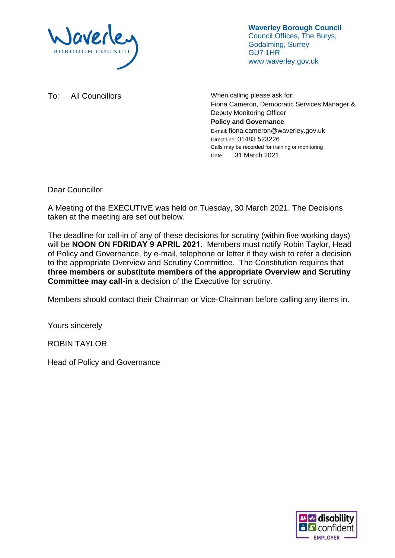

**Waverley Borough Council** Council Offices, The Burys, Godalming, Surrey GU7 1HR www.waverley.gov.uk

To: All Councillors Manuel More when calling please ask for: Fiona Cameron, Democratic Services Manager & Deputy Monitoring Officer **Policy and Governance** E-mail: fiona.cameron@waverley.gov.uk Direct line: 01483 523226 Calls may be recorded for training or monitoring Date: 31 March 2021

Dear Councillor

A Meeting of the EXECUTIVE was held on Tuesday, 30 March 2021. The Decisions taken at the meeting are set out below.

The deadline for call-in of any of these decisions for scrutiny (within five working days) will be **NOON ON FDRIDAY 9 APRIL 2021**. Members must notify Robin Taylor, Head of Policy and Governance, by e-mail, telephone or letter if they wish to refer a decision to the appropriate Overview and Scrutiny Committee. The Constitution requires that **three members or substitute members of the appropriate Overview and Scrutiny Committee may call-in** a decision of the Executive for scrutiny.

Members should contact their Chairman or Vice-Chairman before calling any items in.

Yours sincerely

ROBIN TAYLOR

Head of Policy and Governance

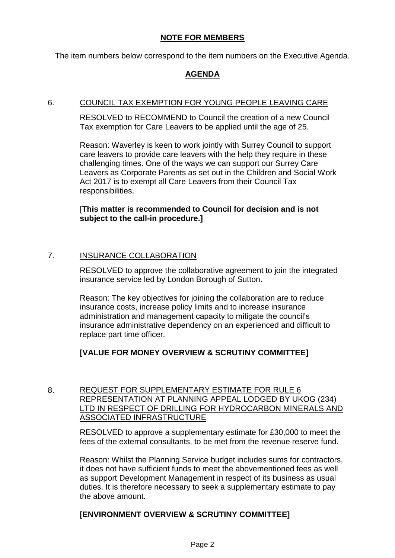# **NOTE FOR MEMBERS**

The item numbers below correspond to the item numbers on the Executive Agenda.

# **AGENDA**

#### 6. COUNCIL TAX EXEMPTION FOR YOUNG PEOPLE LEAVING CARE

RESOLVED to RECOMMEND to Council the creation of a new Council Tax exemption for Care Leavers to be applied until the age of 25.

Reason: Waverley is keen to work jointly with Surrey Council to support care leavers to provide care leavers with the help they require in these challenging times. One of the ways we can support our Surrey Care Leavers as Corporate Parents as set out in the Children and Social Work Act 2017 is to exempt all Care Leavers from their Council Tax responsibilities.

[**This matter is recommended to Council for decision and is not subject to the call-in procedure.]**

# 7. INSURANCE COLLABORATION

RESOLVED to approve the collaborative agreement to join the integrated insurance service led by London Borough of Sutton.

Reason: The key objectives for joining the collaboration are to reduce insurance costs, increase policy limits and to increase insurance administration and management capacity to mitigate the council's insurance administrative dependency on an experienced and difficult to replace part time officer.

# **[VALUE FOR MONEY OVERVIEW & SCRUTINY COMMITTEE]**

#### 8. REQUEST FOR SUPPLEMENTARY ESTIMATE FOR RULE 6 REPRESENTATION AT PLANNING APPEAL LODGED BY UKOG (234) LTD IN RESPECT OF DRILLING FOR HYDROCARBON MINERALS AND ASSOCIATED INFRASTRUCTURE

RESOLVED to approve a supplementary estimate for £30,000 to meet the fees of the external consultants, to be met from the revenue reserve fund.

Reason: Whilst the Planning Service budget includes sums for contractors, it does not have sufficient funds to meet the abovementioned fees as well as support Development Management in respect of its business as usual duties. It is therefore necessary to seek a supplementary estimate to pay the above amount.

# **[ENVIRONMENT OVERVIEW & SCRUTINY COMMITTEE]**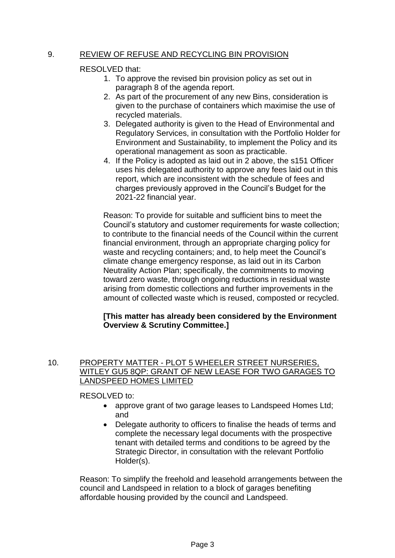### 9. REVIEW OF REFUSE AND RECYCLING BIN PROVISION

#### RESOLVED that:

- 1. To approve the revised bin provision policy as set out in paragraph 8 of the agenda report.
- 2. As part of the procurement of any new Bins, consideration is given to the purchase of containers which maximise the use of recycled materials.
- 3. Delegated authority is given to the Head of Environmental and Regulatory Services, in consultation with the Portfolio Holder for Environment and Sustainability, to implement the Policy and its operational management as soon as practicable.
- 4. If the Policy is adopted as laid out in 2 above, the s151 Officer uses his delegated authority to approve any fees laid out in this report, which are inconsistent with the schedule of fees and charges previously approved in the Council's Budget for the 2021-22 financial year.

Reason: To provide for suitable and sufficient bins to meet the Council's statutory and customer requirements for waste collection; to contribute to the financial needs of the Council within the current financial environment, through an appropriate charging policy for waste and recycling containers; and, to help meet the Council's climate change emergency response, as laid out in its Carbon Neutrality Action Plan; specifically, the commitments to moving toward zero waste, through ongoing reductions in residual waste arising from domestic collections and further improvements in the amount of collected waste which is reused, composted or recycled.

#### **[This matter has already been considered by the Environment Overview & Scrutiny Committee.]**

#### 10. PROPERTY MATTER - PLOT 5 WHEELER STREET NURSERIES, WITLEY GU5 8QP: GRANT OF NEW LEASE FOR TWO GARAGES TO LANDSPEED HOMES LIMITED

RESOLVED to:

- approve grant of two garage leases to Landspeed Homes Ltd; and
- Delegate authority to officers to finalise the heads of terms and complete the necessary legal documents with the prospective tenant with detailed terms and conditions to be agreed by the Strategic Director, in consultation with the relevant Portfolio Holder(s).

Reason: To simplify the freehold and leasehold arrangements between the council and Landspeed in relation to a block of garages benefiting affordable housing provided by the council and Landspeed.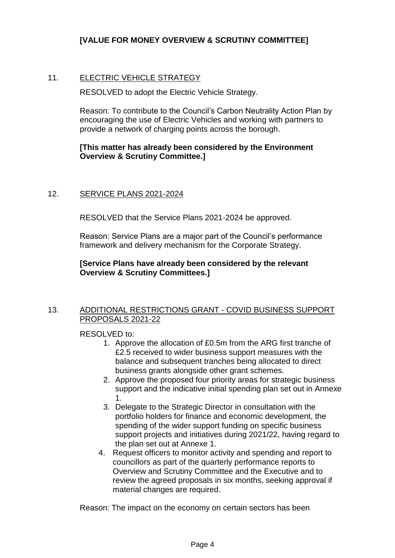# **[VALUE FOR MONEY OVERVIEW & SCRUTINY COMMITTEE]**

# 11. ELECTRIC VEHICLE STRATEGY

RESOLVED to adopt the Electric Vehicle Strategy.

Reason: To contribute to the Council's Carbon Neutrality Action Plan by encouraging the use of Electric Vehicles and working with partners to provide a network of charging points across the borough.

#### **[This matter has already been considered by the Environment Overview & Scrutiny Committee.]**

#### 12. SERVICE PLANS 2021-2024

RESOLVED that the Service Plans 2021-2024 be approved.

Reason: Service Plans are a major part of the Council's performance framework and delivery mechanism for the Corporate Strategy.

### **[Service Plans have already been considered by the relevant Overview & Scrutiny Committees.]**

#### 13. ADDITIONAL RESTRICTIONS GRANT - COVID BUSINESS SUPPORT PROPOSALS 2021-22

#### RESOLVED to:

- 1. Approve the allocation of £0.5m from the ARG first tranche of £2.5 received to wider business support measures with the balance and subsequent tranches being allocated to direct business grants alongside other grant schemes.
- 2. Approve the proposed four priority areas for strategic business support and the indicative initial spending plan set out in Annexe 1.
- 3. Delegate to the Strategic Director in consultation with the portfolio holders for finance and economic development, the spending of the wider support funding on specific business support projects and initiatives during 2021/22, having regard to the plan set out at Annexe 1.
- 4. Request officers to monitor activity and spending and report to councillors as part of the quarterly performance reports to Overview and Scrutiny Committee and the Executive and to review the agreed proposals in six months, seeking approval if material changes are required.

Reason: The impact on the economy on certain sectors has been